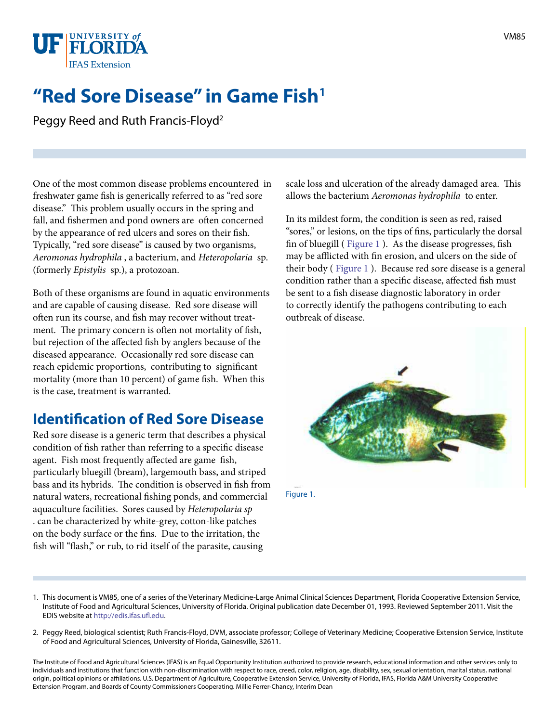

# **"Red Sore Disease" in Game Fish**

Peggy Reed and Ruth Francis-Floyd<sup>2</sup>

One of the most common disease problems encountered in freshwater game fish is generically referred to as "red sore disease." This problem usually occurs in the spring and fall, and fishermen and pond owners are often concerned by the appearance of red ulcers and sores on their fish. Typically, "red sore disease" is caused by two organisms, *Aeromonas hydrophila* , a bacterium, and *Heteropolaria* sp. (formerly *Epistylis* sp.), a protozoan.

Both of these organisms are found in aquatic environments and are capable of causing disease. Red sore disease will often run its course, and fish may recover without treatment. The primary concern is often not mortality of fish, but rejection of the affected fish by anglers because of the diseased appearance. Occasionally red sore disease can reach epidemic proportions, contributing to significant mortality (more than 10 percent) of game fish. When this is the case, treatment is warranted.

## **Identification of Red Sore Disease**

Red sore disease is a generic term that describes a physical condition of fish rather than referring to a specific disease agent. Fish most frequently affected are game fish, particularly bluegill (bream), largemouth bass, and striped bass and its hybrids. The condition is observed in fish from natural waters, recreational fishing ponds, and commercial aquaculture facilities. Sores caused by *Heteropolaria sp*  . can be characterized by white-grey, cotton-like patches on the body surface or the fins. Due to the irritation, the fish will "flash," or rub, to rid itself of the parasite, causing

scale loss and ulceration of the already damaged area. This allows the bacterium *Aeromonas hydrophila* to enter.

In its mildest form, the condition is seen as red, raised "sores," or lesions, on the tips of fins, particularly the dorsal fin of bluegill ( [Figure 1 \)](IMAGE_VM_VM059F1). As the disease progresses, fish may be afflicted with fin erosion, and ulcers on the side of their body ( [Figure 1](IMAGE_VM_VM059F1) ). Because red sore disease is a general condition rather than a specific disease, affected fish must be sent to a fish disease diagnostic laboratory in order to correctly identify the pathogens contributing to each outbreak of disease.



Figure 1.

- 1. This document is VM85, one of a series of the Veterinary Medicine-Large Animal Clinical Sciences Department, Florida Cooperative Extension Service, Institute of Food and Agricultural Sciences, University of Florida. Original publication date December 01, 1993. Reviewed September 2011. Visit the EDIS website at [http://edis.ifas.ufl.edu.](http://edis.ifas.ufl.edu)
- 2. Peggy Reed, biological scientist; Ruth Francis-Floyd, DVM, associate professor; College of Veterinary Medicine; Cooperative Extension Service, Institute of Food and Agricultural Sciences, University of Florida, Gainesville, 32611.

The Institute of Food and Agricultural Sciences (IFAS) is an Equal Opportunity Institution authorized to provide research, educational information and other services only to individuals and institutions that function with non-discrimination with respect to race, creed, color, religion, age, disability, sex, sexual orientation, marital status, national origin, political opinions or affiliations. U.S. Department of Agriculture, Cooperative Extension Service, University of Florida, IFAS, Florida A&M University Cooperative Extension Program, and Boards of County Commissioners Cooperating. Millie Ferrer-Chancy, Interim Dean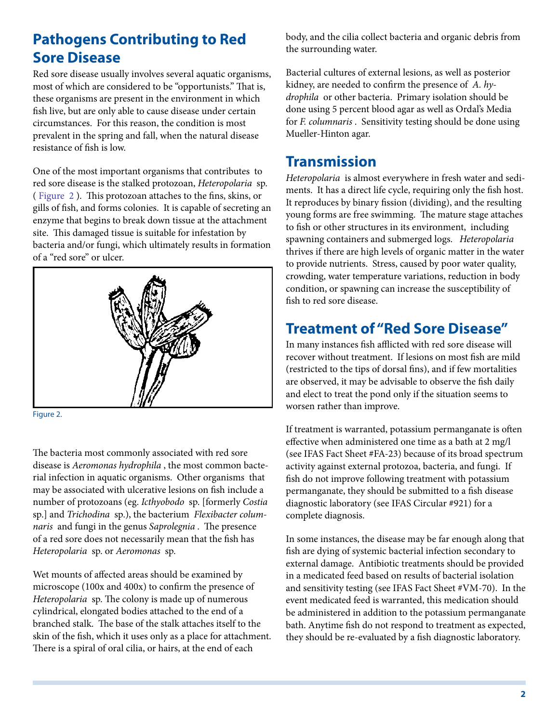## **Pathogens Contributing to Red Sore Disease**

Red sore disease usually involves several aquatic organisms, most of which are considered to be "opportunists." That is, these organisms are present in the environment in which fish live, but are only able to cause disease under certain circumstances. For this reason, the condition is most prevalent in the spring and fall, when the natural disease resistance of fish is low.

One of the most important organisms that contributes to red sore disease is the stalked protozoan, *Heteropolaria* sp. ( [Figure 2](IMAGE_VM_VM059F2) ). This protozoan attaches to the fins, skins, or gills of fish, and forms colonies. It is capable of secreting an enzyme that begins to break down tissue at the attachment site. This damaged tissue is suitable for infestation by bacteria and/or fungi, which ultimately results in formation of a "red sore" or ulcer.



Figure 2.

The bacteria most commonly associated with red sore disease is *Aeromonas hydrophila* , the most common bacterial infection in aquatic organisms. Other organisms that may be associated with ulcerative lesions on fish include a number of protozoans (eg. *Icthyobodo* sp. [formerly *Costia*  sp.] and *Trichodina* sp.), the bacterium *Flexibacter columnaris* and fungi in the genus *Saprolegnia* . The presence of a red sore does not necessarily mean that the fish has *Heteropolaria* sp. or *Aeromonas* sp.

Wet mounts of affected areas should be examined by microscope (100x and 400x) to confirm the presence of *Heteropolaria* sp. The colony is made up of numerous cylindrical, elongated bodies attached to the end of a branched stalk. The base of the stalk attaches itself to the skin of the fish, which it uses only as a place for attachment. There is a spiral of oral cilia, or hairs, at the end of each

body, and the cilia collect bacteria and organic debris from the surrounding water.

Bacterial cultures of external lesions, as well as posterior kidney, are needed to confirm the presence of *A. hydrophila* or other bacteria. Primary isolation should be done using 5 percent blood agar as well as Ordal's Media for *F. columnaris* . Sensitivity testing should be done using Mueller-Hinton agar.

#### **Transmission**

*Heteropolaria* is almost everywhere in fresh water and sediments. It has a direct life cycle, requiring only the fish host. It reproduces by binary fission (dividing), and the resulting young forms are free swimming. The mature stage attaches to fish or other structures in its environment, including spawning containers and submerged logs. *Heteropolaria*  thrives if there are high levels of organic matter in the water to provide nutrients. Stress, caused by poor water quality, crowding, water temperature variations, reduction in body condition, or spawning can increase the susceptibility of fish to red sore disease.

## **Treatment of "Red Sore Disease"**

In many instances fish afflicted with red sore disease will recover without treatment. If lesions on most fish are mild (restricted to the tips of dorsal fins), and if few mortalities are observed, it may be advisable to observe the fish daily and elect to treat the pond only if the situation seems to worsen rather than improve.

If treatment is warranted, potassium permanganate is often effective when administered one time as a bath at 2 mg/l (see IFAS Fact Sheet #FA-23) because of its broad spectrum activity against external protozoa, bacteria, and fungi. If fish do not improve following treatment with potassium permanganate, they should be submitted to a fish disease diagnostic laboratory (see IFAS Circular #921) for a complete diagnosis.

In some instances, the disease may be far enough along that fish are dying of systemic bacterial infection secondary to external damage. Antibiotic treatments should be provided in a medicated feed based on results of bacterial isolation and sensitivity testing (see IFAS Fact Sheet #VM-70). In the event medicated feed is warranted, this medication should be administered in addition to the potassium permanganate bath. Anytime fish do not respond to treatment as expected, they should be re-evaluated by a fish diagnostic laboratory.